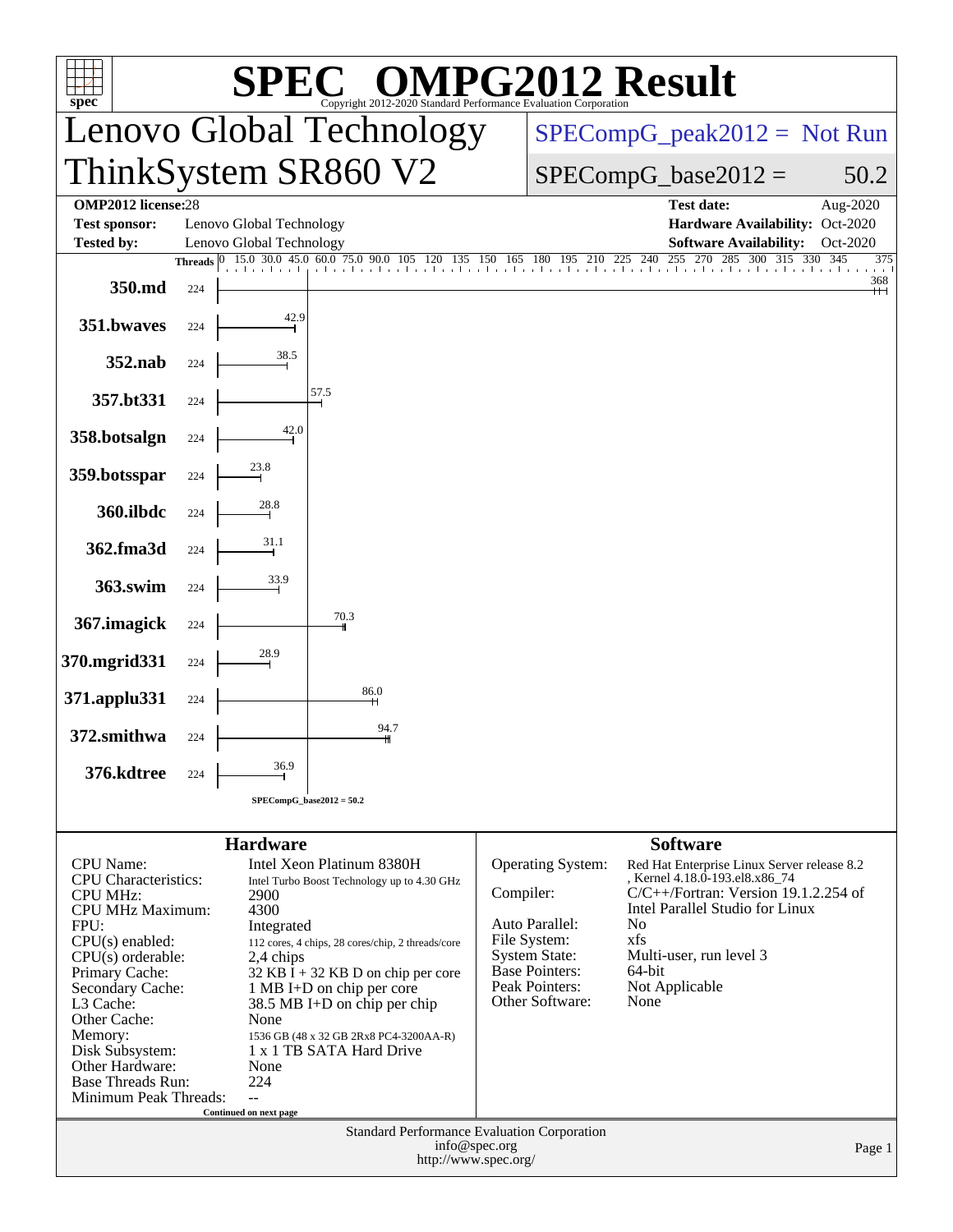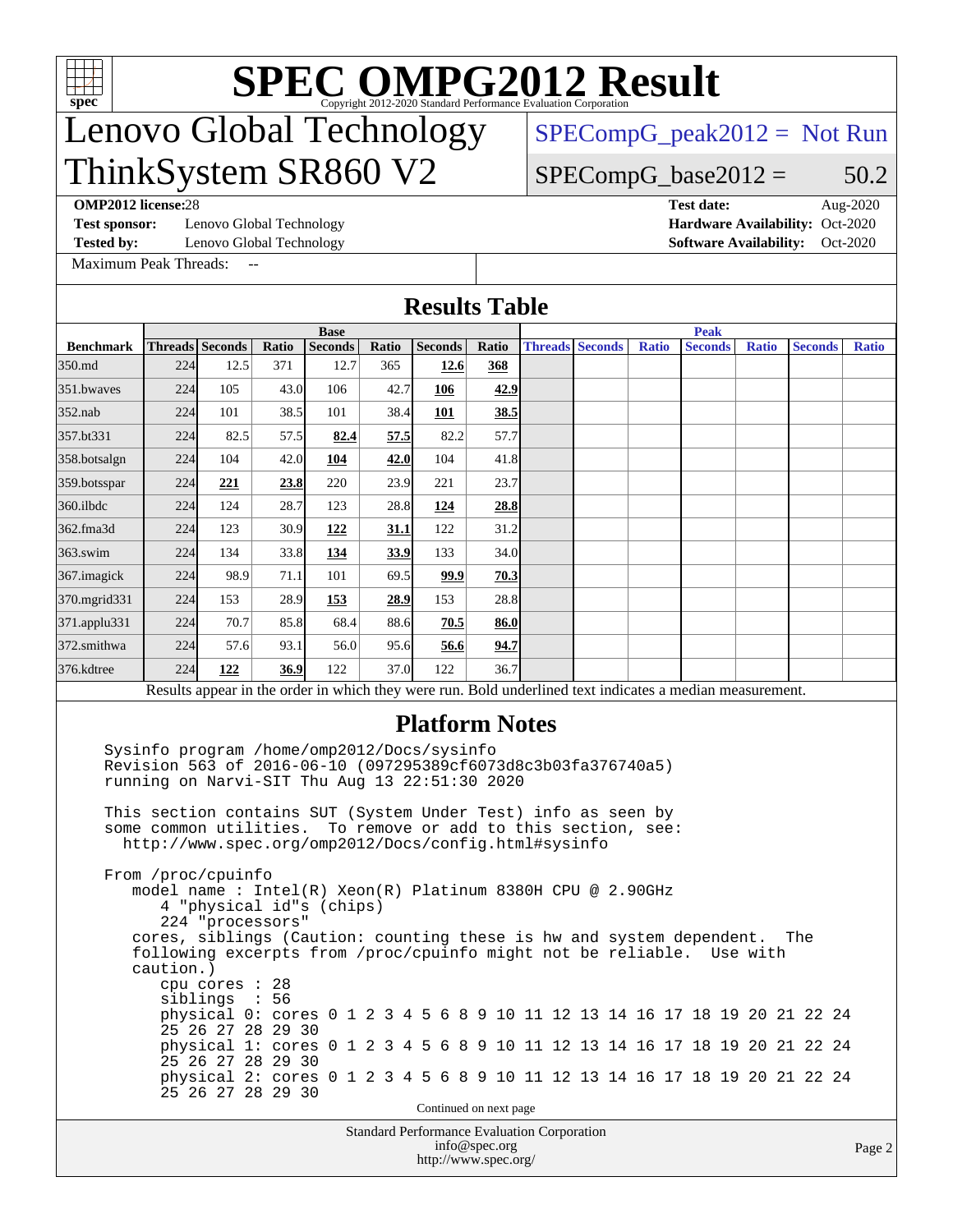

## Lenovo Global Technology ThinkSystem SR860 V2

[SPECompG\\_peak2012 =](http://www.spec.org/auto/omp2012/Docs/result-fields.html#SPECompGpeak2012) Not Run

### $SPECompG_base2012 = 50.2$  $SPECompG_base2012 = 50.2$

**[OMP2012 license:](http://www.spec.org/auto/omp2012/Docs/result-fields.html#OMP2012license)**28 **[Test date:](http://www.spec.org/auto/omp2012/Docs/result-fields.html#Testdate)** Aug-2020

**[Test sponsor:](http://www.spec.org/auto/omp2012/Docs/result-fields.html#Testsponsor)** Lenovo Global Technology **[Hardware Availability:](http://www.spec.org/auto/omp2012/Docs/result-fields.html#HardwareAvailability)** Oct-2020

**[Tested by:](http://www.spec.org/auto/omp2012/Docs/result-fields.html#Testedby)** Lenovo Global Technology **[Software Availability:](http://www.spec.org/auto/omp2012/Docs/result-fields.html#SoftwareAvailability)** Oct-2020

[Maximum Peak Threads:](http://www.spec.org/auto/omp2012/Docs/result-fields.html#MaximumPeakThreads) --

**[Results Table](http://www.spec.org/auto/omp2012/Docs/result-fields.html#ResultsTable)**

|                          | <b>Base</b> |                                                                                                                                                                                                                                                                                                                                                                                                                                                                                                                                                                                                                                                                                                                                                                                                                                                                                |       |                |             |                                                    |                                       |                        | <b>Peak</b> |              |  |                |  |              |  |                |  |              |  |
|--------------------------|-------------|--------------------------------------------------------------------------------------------------------------------------------------------------------------------------------------------------------------------------------------------------------------------------------------------------------------------------------------------------------------------------------------------------------------------------------------------------------------------------------------------------------------------------------------------------------------------------------------------------------------------------------------------------------------------------------------------------------------------------------------------------------------------------------------------------------------------------------------------------------------------------------|-------|----------------|-------------|----------------------------------------------------|---------------------------------------|------------------------|-------------|--------------|--|----------------|--|--------------|--|----------------|--|--------------|--|
| <b>Benchmark</b>         |             | <b>Threads</b> Seconds                                                                                                                                                                                                                                                                                                                                                                                                                                                                                                                                                                                                                                                                                                                                                                                                                                                         | Ratio | <b>Seconds</b> | Ratio       | Seconds                                            | Ratio                                 | <b>Threads Seconds</b> |             | <b>Ratio</b> |  | <b>Seconds</b> |  | <b>Ratio</b> |  | <b>Seconds</b> |  | <b>Ratio</b> |  |
| 350.md                   | 224         | 12.5                                                                                                                                                                                                                                                                                                                                                                                                                                                                                                                                                                                                                                                                                                                                                                                                                                                                           | 371   | 12.7           | 365         | 12.6                                               | 368                                   |                        |             |              |  |                |  |              |  |                |  |              |  |
| 351.bwayes               | 224         | 105                                                                                                                                                                                                                                                                                                                                                                                                                                                                                                                                                                                                                                                                                                                                                                                                                                                                            | 43.0  | 106            | 42.7        | 106                                                | 42.9                                  |                        |             |              |  |                |  |              |  |                |  |              |  |
| $352$ .nab               | 224         | 101                                                                                                                                                                                                                                                                                                                                                                                                                                                                                                                                                                                                                                                                                                                                                                                                                                                                            | 38.5  | 101            | 38.4        | 101                                                | 38.5                                  |                        |             |              |  |                |  |              |  |                |  |              |  |
| 357.bt331                | 224         | 82.5                                                                                                                                                                                                                                                                                                                                                                                                                                                                                                                                                                                                                                                                                                                                                                                                                                                                           | 57.5  | 82.4           | 57.5        | 82.2                                               | 57.7                                  |                        |             |              |  |                |  |              |  |                |  |              |  |
| 358.botsalgn             | 224         | 104                                                                                                                                                                                                                                                                                                                                                                                                                                                                                                                                                                                                                                                                                                                                                                                                                                                                            | 42.0  | 104            | 42.0        | 104                                                | 41.8                                  |                        |             |              |  |                |  |              |  |                |  |              |  |
| $ 359 \text{.}$ botsspar | 224         | 221                                                                                                                                                                                                                                                                                                                                                                                                                                                                                                                                                                                                                                                                                                                                                                                                                                                                            | 23.8  | 220            | 23.9        | 221                                                | 23.7                                  |                        |             |              |  |                |  |              |  |                |  |              |  |
| $360$ .ilbdc             | 224         | 124                                                                                                                                                                                                                                                                                                                                                                                                                                                                                                                                                                                                                                                                                                                                                                                                                                                                            | 28.7  | 123            | 28.8        | 124                                                | 28.8                                  |                        |             |              |  |                |  |              |  |                |  |              |  |
| 362.fma3d                | 224         | 123                                                                                                                                                                                                                                                                                                                                                                                                                                                                                                                                                                                                                                                                                                                                                                                                                                                                            | 30.9  | 122            | 31.1        | 122                                                | 31.2                                  |                        |             |              |  |                |  |              |  |                |  |              |  |
| 363.swim                 | 224         | 134                                                                                                                                                                                                                                                                                                                                                                                                                                                                                                                                                                                                                                                                                                                                                                                                                                                                            | 33.8  | 134            | <b>33.9</b> | 133                                                | 34.0                                  |                        |             |              |  |                |  |              |  |                |  |              |  |
| $367$ . imagick          | 224         | 98.9                                                                                                                                                                                                                                                                                                                                                                                                                                                                                                                                                                                                                                                                                                                                                                                                                                                                           | 71.1  | 101            | 69.5        | 99.9                                               | 70.3                                  |                        |             |              |  |                |  |              |  |                |  |              |  |
| $ 370 \text{.mgrid}331$  | 224         | 153                                                                                                                                                                                                                                                                                                                                                                                                                                                                                                                                                                                                                                                                                                                                                                                                                                                                            | 28.9  | 153            | 28.9        | 153                                                | 28.8                                  |                        |             |              |  |                |  |              |  |                |  |              |  |
| 371.applu331             | 224         | 70.7                                                                                                                                                                                                                                                                                                                                                                                                                                                                                                                                                                                                                                                                                                                                                                                                                                                                           | 85.8  | 68.4           | 88.6        | 70.5                                               | 86.0                                  |                        |             |              |  |                |  |              |  |                |  |              |  |
| 372.smithwa              | 224         | 57.6                                                                                                                                                                                                                                                                                                                                                                                                                                                                                                                                                                                                                                                                                                                                                                                                                                                                           | 93.1  | 56.0           | 95.6        | 56.6                                               | 94.7                                  |                        |             |              |  |                |  |              |  |                |  |              |  |
| 376.kdtree               | 224         | 122                                                                                                                                                                                                                                                                                                                                                                                                                                                                                                                                                                                                                                                                                                                                                                                                                                                                            | 36.9  | 122            | 37.0        | 122                                                | 36.7                                  |                        |             |              |  |                |  |              |  |                |  |              |  |
|                          |             | Results appear in the order in which they were run. Bold underlined text indicates a median measurement.                                                                                                                                                                                                                                                                                                                                                                                                                                                                                                                                                                                                                                                                                                                                                                       |       |                |             |                                                    |                                       |                        |             |              |  |                |  |              |  |                |  |              |  |
|                          | caution.)   | Revision 563 of 2016-06-10 (097295389cf6073d8c3b03fa376740a5)<br>running on Narvi-SIT Thu Aug 13 22:51:30 2020<br>This section contains SUT (System Under Test) info as seen by<br>some common utilities.<br>http://www.spec.org/omp2012/Docs/config.html#sysinfo<br>From /proc/cpuinfo<br>model name: $Intel(R)$ Xeon(R) Platinum 8380H CPU @ 2.90GHz<br>4 "physical id"s (chips)<br>224 "processors"<br>cores, siblings (Caution: counting these is hw and system dependent.<br>following excerpts from /proc/cpuinfo might not be reliable. Use with<br>cpu cores : 28<br>siblings : 56<br>physical 0: cores 0 1 2 3 4 5 6 8 9 10 11 12 13 14 16 17 18 19 20 21 22 24<br>25 26 27 28 29 30<br>physical 1: cores 0 1 2 3 4 5 6 8 9 10 11 12 13 14 16 17 18 19 20 21 22 24<br>25 26 27 28 29 30<br>physical 2: cores 0 1 2 3 4 5 6 8 9 10 11 12 13 14 16 17 18 19 20 21 22 24 |       |                |             | To remove or add to this section, see:             |                                       |                        |             |              |  |                |  |              |  | The            |  |              |  |
|                          |             | 25 26 27 28 29 30                                                                                                                                                                                                                                                                                                                                                                                                                                                                                                                                                                                                                                                                                                                                                                                                                                                              |       |                |             |                                                    | Continued on next page                |                        |             |              |  |                |  |              |  |                |  |              |  |
|                          |             |                                                                                                                                                                                                                                                                                                                                                                                                                                                                                                                                                                                                                                                                                                                                                                                                                                                                                |       |                |             | <b>Standard Performance Evaluation Corporation</b> | info@spec.org<br>http://www.spec.org/ |                        |             |              |  |                |  |              |  |                |  | Page 2       |  |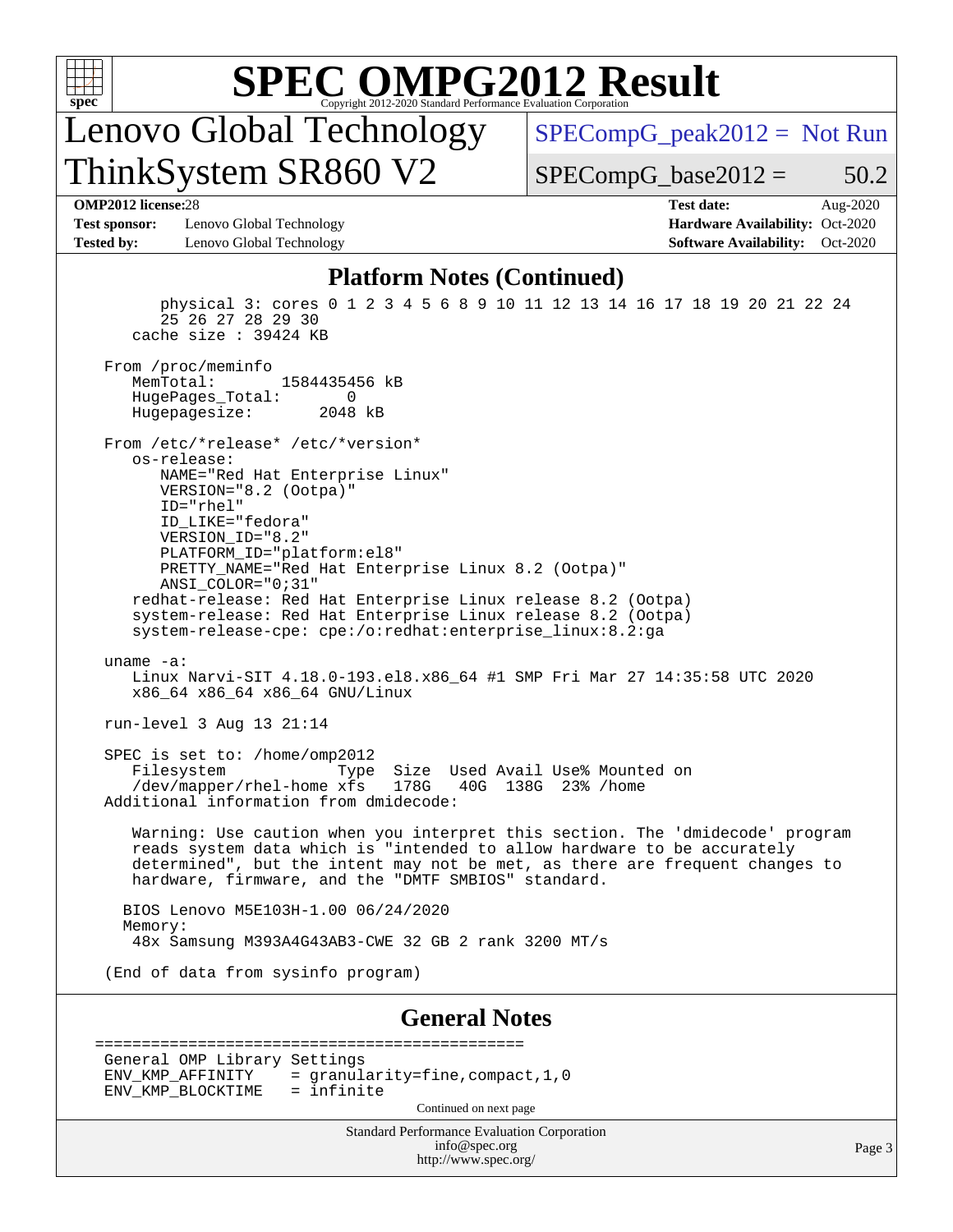

Lenovo Global Technology ThinkSystem SR860 V2

[SPECompG\\_peak2012 =](http://www.spec.org/auto/omp2012/Docs/result-fields.html#SPECompGpeak2012) Not Run

 $SPECompG_base2012 = 50.2$  $SPECompG_base2012 = 50.2$ 

**[Test sponsor:](http://www.spec.org/auto/omp2012/Docs/result-fields.html#Testsponsor)** Lenovo Global Technology **[Hardware Availability:](http://www.spec.org/auto/omp2012/Docs/result-fields.html#HardwareAvailability)** Oct-2020 **[Tested by:](http://www.spec.org/auto/omp2012/Docs/result-fields.html#Testedby)** Lenovo Global Technology **[Software Availability:](http://www.spec.org/auto/omp2012/Docs/result-fields.html#SoftwareAvailability)** Oct-2020

**[OMP2012 license:](http://www.spec.org/auto/omp2012/Docs/result-fields.html#OMP2012license)**28 **[Test date:](http://www.spec.org/auto/omp2012/Docs/result-fields.html#Testdate)** Aug-2020

#### **[Platform Notes \(Continued\)](http://www.spec.org/auto/omp2012/Docs/result-fields.html#PlatformNotes)**

 physical 3: cores 0 1 2 3 4 5 6 8 9 10 11 12 13 14 16 17 18 19 20 21 22 24 25 26 27 28 29 30 cache size : 39424 KB From /proc/meminfo<br>MemTotal: 1584435456 kB HugePages\_Total: 0<br>Hugepagesize: 2048 kB Hugepagesize: From /etc/\*release\* /etc/\*version\* os-release: NAME="Red Hat Enterprise Linux" VERSION="8.2 (Ootpa)" ID="rhel" ID\_LIKE="fedora" VERSION\_ID="8.2" PLATFORM\_ID="platform:el8" PRETTY\_NAME="Red Hat Enterprise Linux 8.2 (Ootpa)" ANSI\_COLOR="0;31" redhat-release: Red Hat Enterprise Linux release 8.2 (Ootpa) system-release: Red Hat Enterprise Linux release 8.2 (Ootpa) system-release-cpe: cpe:/o:redhat:enterprise\_linux:8.2:ga uname -a: Linux Narvi-SIT 4.18.0-193.el8.x86\_64 #1 SMP Fri Mar 27 14:35:58 UTC 2020 x86\_64 x86\_64 x86\_64 GNU/Linux run-level 3 Aug 13 21:14 SPEC is set to: /home/omp2012 Filesystem Type Size Used Avail Use% Mounted on<br>
/dev/mapper/rhel-home xfs 178G 40G 138G 23% /home /dev/mapper/rhel-home xfs Additional information from dmidecode: Warning: Use caution when you interpret this section. The 'dmidecode' program reads system data which is "intended to allow hardware to be accurately determined", but the intent may not be met, as there are frequent changes to hardware, firmware, and the "DMTF SMBIOS" standard. BIOS Lenovo M5E103H-1.00 06/24/2020 Memory: 48x Samsung M393A4G43AB3-CWE 32 GB 2 rank 3200 MT/s (End of data from sysinfo program) **[General Notes](http://www.spec.org/auto/omp2012/Docs/result-fields.html#GeneralNotes)** ============================================== General OMP Library Settings<br>ENV KMP AFFINITY = gra

| ENV KMP BLOCKTIME | = infinite<br>Continued on next page |  |
|-------------------|--------------------------------------|--|
|                   |                                      |  |
|                   |                                      |  |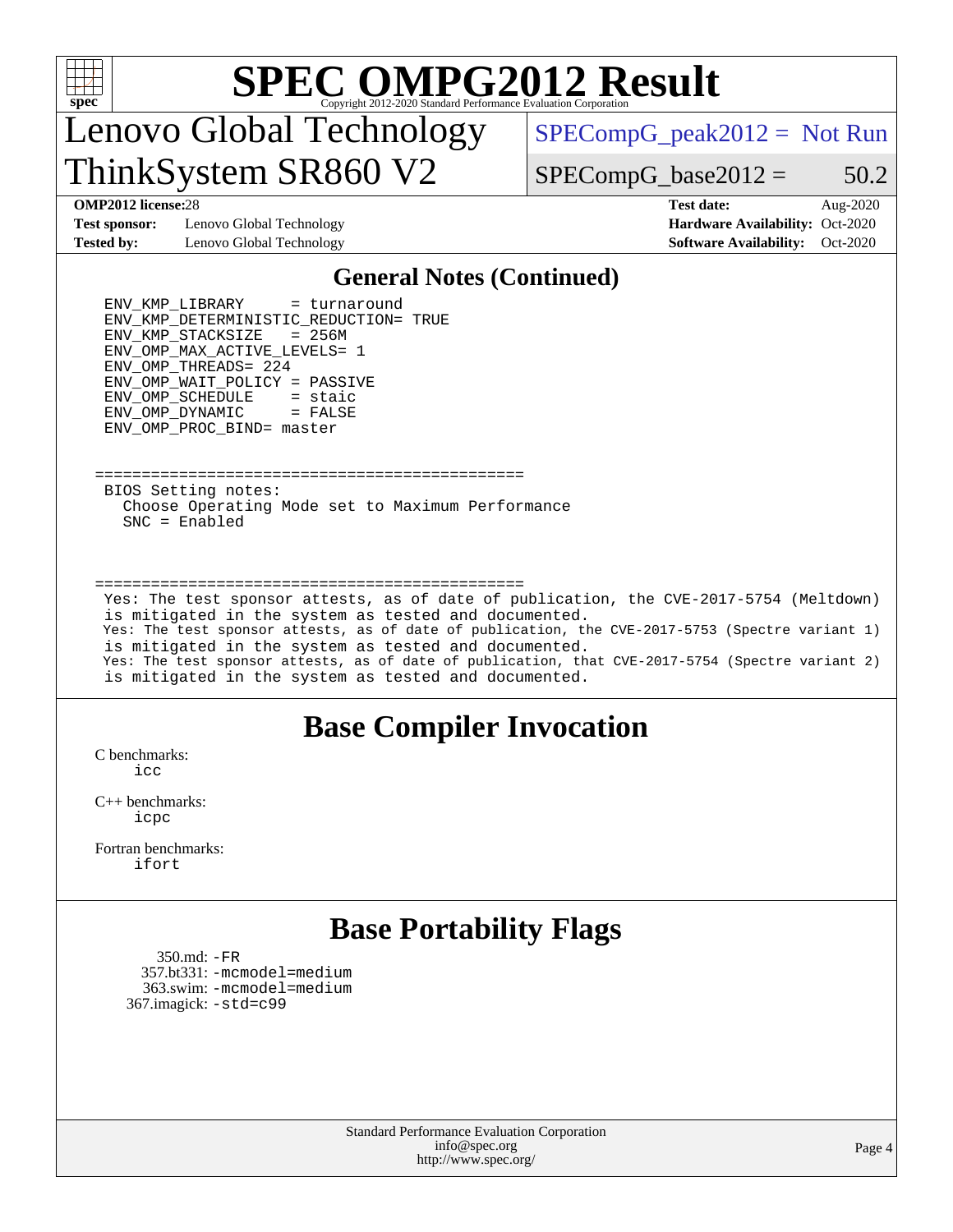

## Lenovo Global Technology ThinkSystem SR860 V2

 $SPECompG_peak2012 = Not Run$  $SPECompG_peak2012 = Not Run$ 

 $SPECompG_base2012 = 50.2$  $SPECompG_base2012 = 50.2$ 

**[Test sponsor:](http://www.spec.org/auto/omp2012/Docs/result-fields.html#Testsponsor)** Lenovo Global Technology **[Hardware Availability:](http://www.spec.org/auto/omp2012/Docs/result-fields.html#HardwareAvailability)** Oct-2020 **[Tested by:](http://www.spec.org/auto/omp2012/Docs/result-fields.html#Testedby)** Lenovo Global Technology **[Software Availability:](http://www.spec.org/auto/omp2012/Docs/result-fields.html#SoftwareAvailability)** Oct-2020

**[OMP2012 license:](http://www.spec.org/auto/omp2012/Docs/result-fields.html#OMP2012license)**28 **[Test date:](http://www.spec.org/auto/omp2012/Docs/result-fields.html#Testdate)** Aug-2020

#### **[General Notes \(Continued\)](http://www.spec.org/auto/omp2012/Docs/result-fields.html#GeneralNotes)**

 ENV\_KMP\_LIBRARY = turnaround ENV\_KMP\_DETERMINISTIC\_REDUCTION = TRUE ENV\_KMP\_STACKSIZE = 256M ENV\_OMP\_MAX\_ACTIVE\_LEVELS = 1  $END\_OMP\_THREADS$  = 224<br>ENV OMP WAIT POLICY = PASSIVE ENV\_OMP\_WAIT\_POLICY ENV OMP SCHEDULE = staic ENV\_OMP\_DYNAMIC = FALSE ENV\_OMP\_PROC\_BIND = master

============================================== BIOS Setting notes: Choose Operating Mode set to Maximum Performance SNC = Enabled

#### ==============================================

 Yes: The test sponsor attests, as of date of publication, the CVE-2017-5754 (Meltdown) is mitigated in the system as tested and documented. Yes: The test sponsor attests, as of date of publication, the CVE-2017-5753 (Spectre variant 1) is mitigated in the system as tested and documented. Yes: The test sponsor attests, as of date of publication, that CVE-2017-5754 (Spectre variant 2) is mitigated in the system as tested and documented.

### **[Base Compiler Invocation](http://www.spec.org/auto/omp2012/Docs/result-fields.html#BaseCompilerInvocation)**

[C benchmarks](http://www.spec.org/auto/omp2012/Docs/result-fields.html#Cbenchmarks): [icc](http://www.spec.org/omp2012/results/res2020q4/omp2012-20200917-00194.flags.html#user_CCbase_intel_icc_a87c68a857bc5ec5362391a49d3a37a6)

[C++ benchmarks:](http://www.spec.org/auto/omp2012/Docs/result-fields.html#CXXbenchmarks) [icpc](http://www.spec.org/omp2012/results/res2020q4/omp2012-20200917-00194.flags.html#user_CXXbase_intel_icpc_2d899f8d163502b12eb4a60069f80c1c)

[Fortran benchmarks](http://www.spec.org/auto/omp2012/Docs/result-fields.html#Fortranbenchmarks): [ifort](http://www.spec.org/omp2012/results/res2020q4/omp2012-20200917-00194.flags.html#user_FCbase_intel_ifort_8a5e5e06b19a251bdeaf8fdab5d62f20)

### **[Base Portability Flags](http://www.spec.org/auto/omp2012/Docs/result-fields.html#BasePortabilityFlags)**

 350.md: [-FR](http://www.spec.org/omp2012/results/res2020q4/omp2012-20200917-00194.flags.html#user_baseFPORTABILITY350_md_f-FR) 357.bt331: [-mcmodel=medium](http://www.spec.org/omp2012/results/res2020q4/omp2012-20200917-00194.flags.html#user_baseFPORTABILITY357_bt331_f-mcmodel_3a41622424bdd074c4f0f2d2f224c7e5) 363.swim: [-mcmodel=medium](http://www.spec.org/omp2012/results/res2020q4/omp2012-20200917-00194.flags.html#user_baseFPORTABILITY363_swim_f-mcmodel_3a41622424bdd074c4f0f2d2f224c7e5) 367.imagick: [-std=c99](http://www.spec.org/omp2012/results/res2020q4/omp2012-20200917-00194.flags.html#user_baseCPORTABILITY367_imagick_f-std_2ec6533b6e06f1c4a6c9b78d9e9cde24)

> Standard Performance Evaluation Corporation [info@spec.org](mailto:info@spec.org) <http://www.spec.org/>